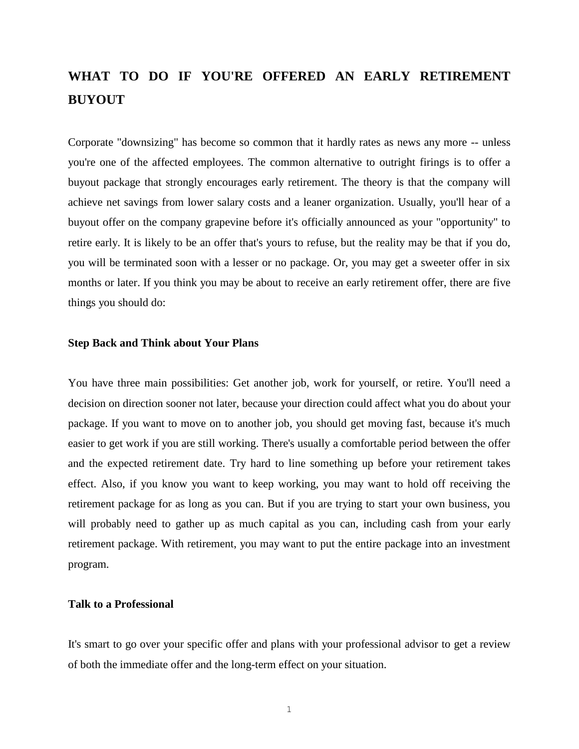# **WHAT TO DO IF YOU'RE OFFERED AN EARLY RETIREMENT BUYOUT**

Corporate "downsizing" has become so common that it hardly rates as news any more -- unless you're one of the affected employees. The common alternative to outright firings is to offer a buyout package that strongly encourages early retirement. The theory is that the company will achieve net savings from lower salary costs and a leaner organization. Usually, you'll hear of a buyout offer on the company grapevine before it's officially announced as your "opportunity" to retire early. It is likely to be an offer that's yours to refuse, but the reality may be that if you do, you will be terminated soon with a lesser or no package. Or, you may get a sweeter offer in six months or later. If you think you may be about to receive an early retirement offer, there are five things you should do:

## **Step Back and Think about Your Plans**

You have three main possibilities: Get another job, work for yourself, or retire. You'll need a decision on direction sooner not later, because your direction could affect what you do about your package. If you want to move on to another job, you should get moving fast, because it's much easier to get work if you are still working. There's usually a comfortable period between the offer and the expected retirement date. Try hard to line something up before your retirement takes effect. Also, if you know you want to keep working, you may want to hold off receiving the retirement package for as long as you can. But if you are trying to start your own business, you will probably need to gather up as much capital as you can, including cash from your early retirement package. With retirement, you may want to put the entire package into an investment program.

### **Talk to a Professional**

It's smart to go over your specific offer and plans with your professional advisor to get a review of both the immediate offer and the long-term effect on your situation.